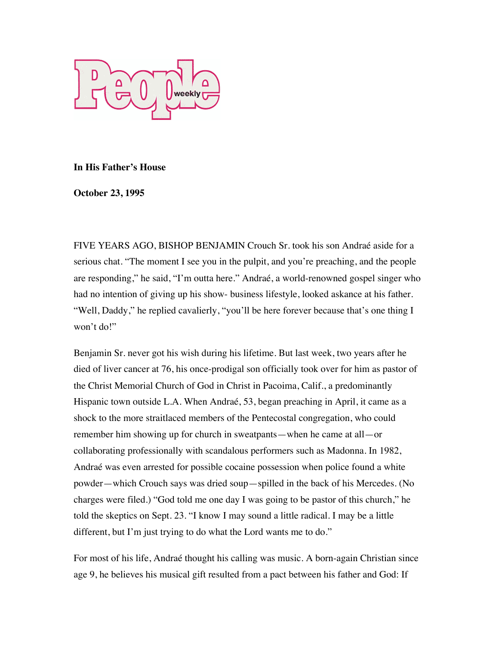

## **In His Father's House**

**October 23, 1995** 

FIVE YEARS AGO, BISHOP BENJAMIN Crouch Sr. took his son Andraé aside for a serious chat. "The moment I see you in the pulpit, and you're preaching, and the people are responding," he said, "I'm outta here." Andraé, a world-renowned gospel singer who had no intention of giving up his show- business lifestyle, looked askance at his father. "Well, Daddy," he replied cavalierly, "you'll be here forever because that's one thing I won't do!"

Benjamin Sr. never got his wish during his lifetime. But last week, two years after he died of liver cancer at 76, his once-prodigal son officially took over for him as pastor of the Christ Memorial Church of God in Christ in Pacoima, Calif., a predominantly Hispanic town outside L.A. When Andraé, 53, began preaching in April, it came as a shock to the more straitlaced members of the Pentecostal congregation, who could remember him showing up for church in sweatpants—when he came at all—or collaborating professionally with scandalous performers such as Madonna. In 1982, Andraé was even arrested for possible cocaine possession when police found a white powder—which Crouch says was dried soup—spilled in the back of his Mercedes. (No charges were filed.) "God told me one day I was going to be pastor of this church," he told the skeptics on Sept. 23. "I know I may sound a little radical. I may be a little different, but I'm just trying to do what the Lord wants me to do."

For most of his life, Andraé thought his calling was music. A born-again Christian since age 9, he believes his musical gift resulted from a pact between his father and God: If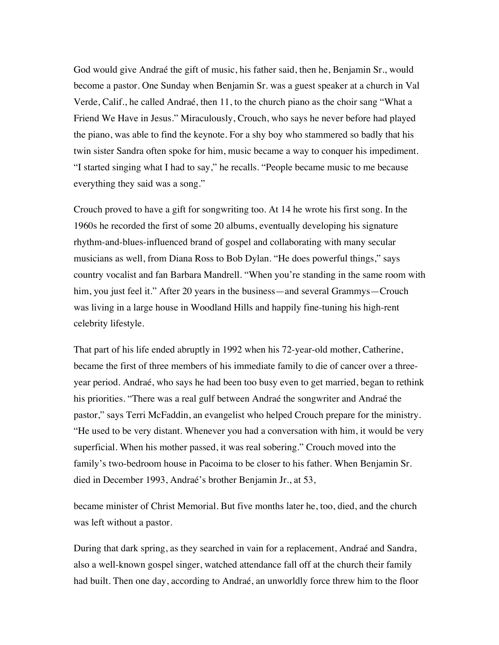God would give Andraé the gift of music, his father said, then he, Benjamin Sr., would become a pastor. One Sunday when Benjamin Sr. was a guest speaker at a church in Val Verde, Calif., he called Andraé, then 11, to the church piano as the choir sang "What a Friend We Have in Jesus." Miraculously, Crouch, who says he never before had played the piano, was able to find the keynote. For a shy boy who stammered so badly that his twin sister Sandra often spoke for him, music became a way to conquer his impediment. "I started singing what I had to say," he recalls. "People became music to me because everything they said was a song."

Crouch proved to have a gift for songwriting too. At 14 he wrote his first song. In the 1960s he recorded the first of some 20 albums, eventually developing his signature rhythm-and-blues-influenced brand of gospel and collaborating with many secular musicians as well, from Diana Ross to Bob Dylan. "He does powerful things," says country vocalist and fan Barbara Mandrell. "When you're standing in the same room with him, you just feel it." After 20 years in the business—and several Grammys—Crouch was living in a large house in Woodland Hills and happily fine-tuning his high-rent celebrity lifestyle.

That part of his life ended abruptly in 1992 when his 72-year-old mother, Catherine, became the first of three members of his immediate family to die of cancer over a threeyear period. Andraé, who says he had been too busy even to get married, began to rethink his priorities. "There was a real gulf between Andraé the songwriter and Andraé the pastor," says Terri McFaddin, an evangelist who helped Crouch prepare for the ministry. "He used to be very distant. Whenever you had a conversation with him, it would be very superficial. When his mother passed, it was real sobering." Crouch moved into the family's two-bedroom house in Pacoima to be closer to his father. When Benjamin Sr. died in December 1993, Andraé's brother Benjamin Jr., at 53,

became minister of Christ Memorial. But five months later he, too, died, and the church was left without a pastor.

During that dark spring, as they searched in vain for a replacement, Andraé and Sandra, also a well-known gospel singer, watched attendance fall off at the church their family had built. Then one day, according to Andraé, an unworldly force threw him to the floor